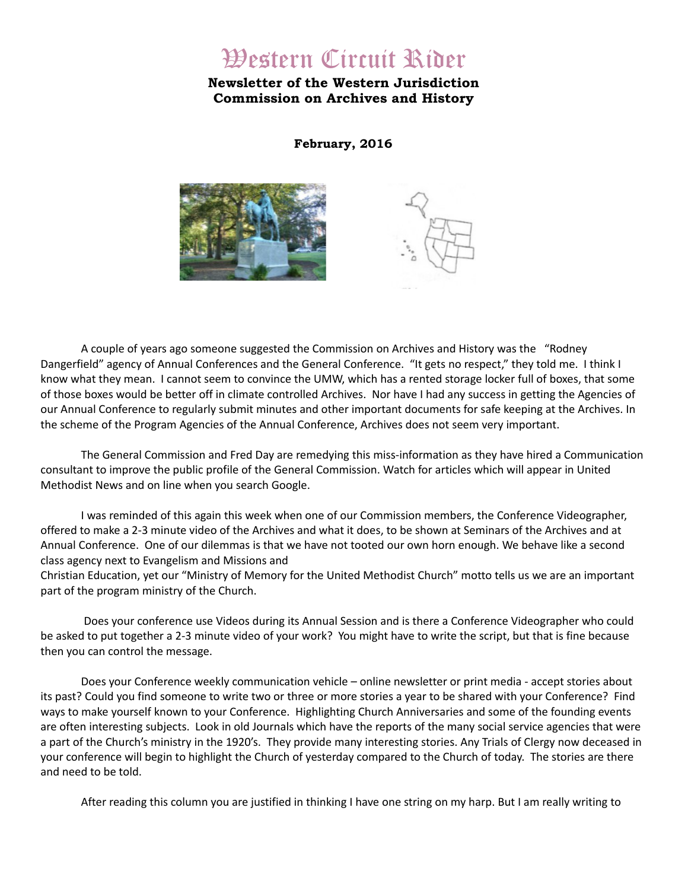# Western Circuit Rider

# **Newsletter of the Western Jurisdiction Commission on Archives and History**

**February, 2016**





A couple of years ago someone suggested the Commission on Archives and History was the "Rodney Dangerfield" agency of Annual Conferences and the General Conference. "It gets no respect," they told me. I think I know what they mean. I cannot seem to convince the UMW, which has a rented storage locker full of boxes, that some of those boxes would be better off in climate controlled Archives. Nor have I had any success in getting the Agencies of our Annual Conference to regularly submit minutes and other important documents for safe keeping at the Archives. In the scheme of the Program Agencies of the Annual Conference, Archives does not seem very important.

The General Commission and Fred Day are remedying this miss-information as they have hired a Communication consultant to improve the public profile of the General Commission. Watch for articles which will appear in United Methodist News and on line when you search Google.

I was reminded of this again this week when one of our Commission members, the Conference Videographer, offered to make a 2-3 minute video of the Archives and what it does, to be shown at Seminars of the Archives and at Annual Conference. One of our dilemmas is that we have not tooted our own horn enough. We behave like a second class agency next to Evangelism and Missions and Christian Education, yet our "Ministry of Memory for the United Methodist Church" motto tells us we are an important

part of the program ministry of the Church.

 Does your conference use Videos during its Annual Session and is there a Conference Videographer who could be asked to put together a 2-3 minute video of your work? You might have to write the script, but that is fine because then you can control the message.

Does your Conference weekly communication vehicle – online newsletter or print media - accept stories about its past? Could you find someone to write two or three or more stories a year to be shared with your Conference? Find ways to make yourself known to your Conference. Highlighting Church Anniversaries and some of the founding events are often interesting subjects. Look in old Journals which have the reports of the many social service agencies that were a part of the Church's ministry in the 1920's. They provide many interesting stories. Any Trials of Clergy now deceased in your conference will begin to highlight the Church of yesterday compared to the Church of today. The stories are there and need to be told.

After reading this column you are justified in thinking I have one string on my harp. But I am really writing to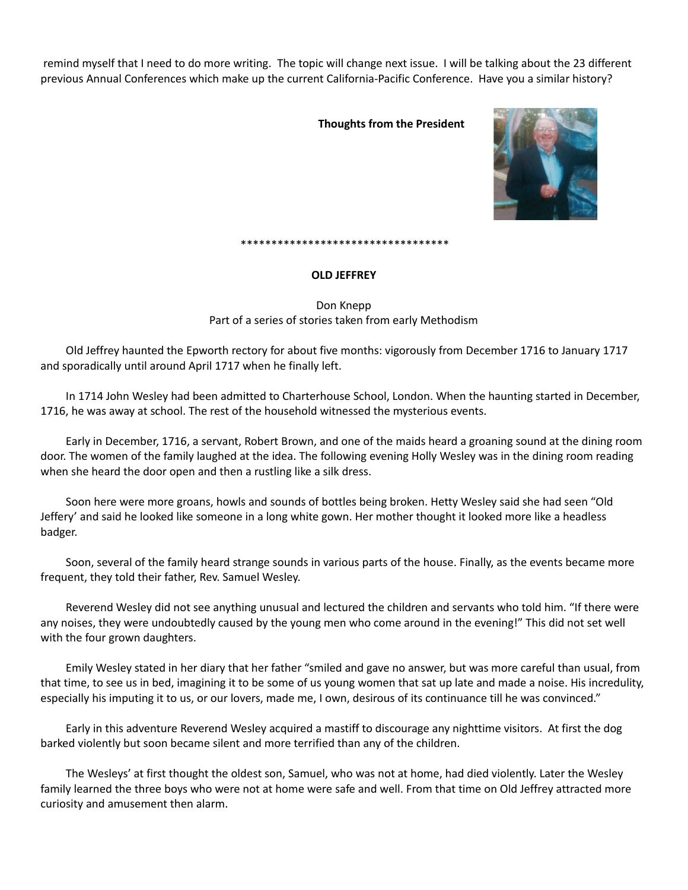remind myself that I need to do more writing. The topic will change next issue. I will be talking about the 23 different previous Annual Conferences which make up the current California-Pacific Conference. Have you a similar history?

# **Thoughts from the President**



#### \*\*\*\*\*\*\*\*\*\*\*\*\*\*\*\*\*\*\*\*\*\*\*\*\*\*\*\*\*\*\*\*\*\*

### **OLD JEFFREY**

Don Knepp Part of a series of stories taken from early Methodism

Old Jeffrey haunted the Epworth rectory for about five months: vigorously from December 1716 to January 1717 and sporadically until around April 1717 when he finally left.

In 1714 John Wesley had been admitted to Charterhouse School, London. When the haunting started in December, 1716, he was away at school. The rest of the household witnessed the mysterious events.

Early in December, 1716, a servant, Robert Brown, and one of the maids heard a groaning sound at the dining room door. The women of the family laughed at the idea. The following evening Holly Wesley was in the dining room reading when she heard the door open and then a rustling like a silk dress.

Soon here were more groans, howls and sounds of bottles being broken. Hetty Wesley said she had seen "Old Jeffery' and said he looked like someone in a long white gown. Her mother thought it looked more like a headless badger.

Soon, several of the family heard strange sounds in various parts of the house. Finally, as the events became more frequent, they told their father, Rev. Samuel Wesley.

Reverend Wesley did not see anything unusual and lectured the children and servants who told him. "If there were any noises, they were undoubtedly caused by the young men who come around in the evening!" This did not set well with the four grown daughters.

Emily Wesley stated in her diary that her father "smiled and gave no answer, but was more careful than usual, from that time, to see us in bed, imagining it to be some of us young women that sat up late and made a noise. His incredulity, especially his imputing it to us, or our lovers, made me, I own, desirous of its continuance till he was convinced."

Early in this adventure Reverend Wesley acquired a mastiff to discourage any nighttime visitors. At first the dog barked violently but soon became silent and more terrified than any of the children.

The Wesleys' at first thought the oldest son, Samuel, who was not at home, had died violently. Later the Wesley family learned the three boys who were not at home were safe and well. From that time on Old Jeffrey attracted more curiosity and amusement then alarm.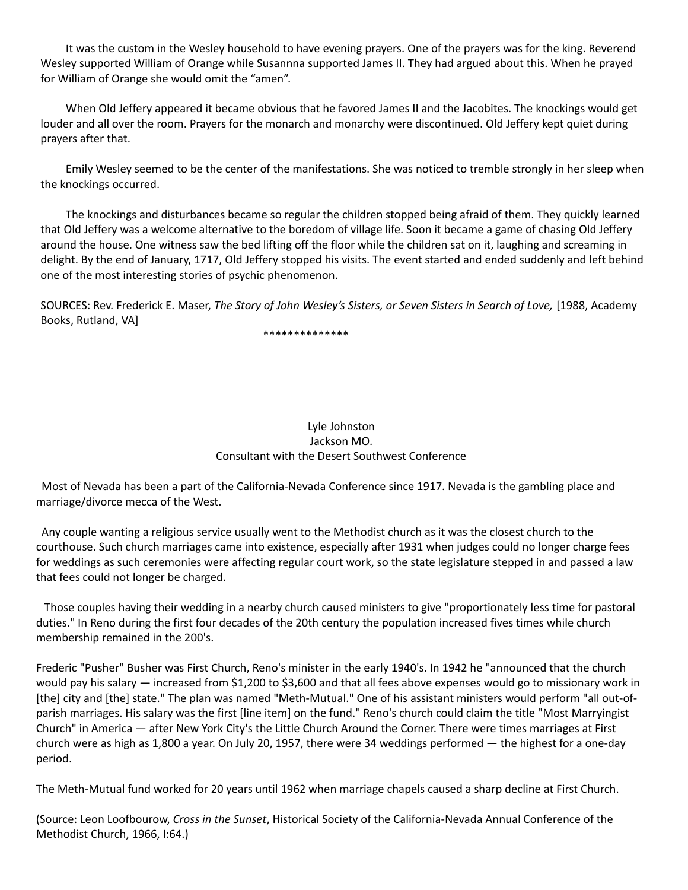It was the custom in the Wesley household to have evening prayers. One of the prayers was for the king. Reverend Wesley supported William of Orange while Susannna supported James II. They had argued about this. When he prayed for William of Orange she would omit the "amen".

When Old Jeffery appeared it became obvious that he favored James II and the Jacobites. The knockings would get louder and all over the room. Prayers for the monarch and monarchy were discontinued. Old Jeffery kept quiet during prayers after that.

Emily Wesley seemed to be the center of the manifestations. She was noticed to tremble strongly in her sleep when the knockings occurred.

The knockings and disturbances became so regular the children stopped being afraid of them. They quickly learned that Old Jeffery was a welcome alternative to the boredom of village life. Soon it became a game of chasing Old Jeffery around the house. One witness saw the bed lifting off the floor while the children sat on it, laughing and screaming in delight. By the end of January, 1717, Old Jeffery stopped his visits. The event started and ended suddenly and left behind one of the most interesting stories of psychic phenomenon.

SOURCES: Rev. Frederick E. Maser, *The Story of John Wesley's Sisters, or Seven Sisters in Search of Love,* [1988, Academy Books, Rutland, VA]

\*\*\*\*\*\*\*\*\*\*\*\*\*\*

# Lyle Johnston Jackson MO. Consultant with the Desert Southwest Conference

 Most of Nevada has been a part of the California-Nevada Conference since 1917. Nevada is the gambling place and marriage/divorce mecca of the West.

 Any couple wanting a religious service usually went to the Methodist church as it was the closest church to the courthouse. Such church marriages came into existence, especially after 1931 when judges could no longer charge fees for weddings as such ceremonies were affecting regular court work, so the state legislature stepped in and passed a law that fees could not longer be charged.

 Those couples having their wedding in a nearby church caused ministers to give "proportionately less time for pastoral duties." In Reno during the first four decades of the 20th century the population increased fives times while church membership remained in the 200's.

Frederic "Pusher" Busher was First Church, Reno's minister in the early 1940's. In 1942 he "announced that the church would pay his salary — increased from \$1,200 to \$3,600 and that all fees above expenses would go to missionary work in [the] city and [the] state." The plan was named "Meth-Mutual." One of his assistant ministers would perform "all out-ofparish marriages. His salary was the first [line item] on the fund." Reno's church could claim the title "Most Marryingist Church" in America — after New York City's the Little Church Around the Corner. There were times marriages at First church were as high as 1,800 a year. On July 20, 1957, there were 34 weddings performed — the highest for a one-day period.

The Meth-Mutual fund worked for 20 years until 1962 when marriage chapels caused a sharp decline at First Church.

(Source: Leon Loofbourow, *Cross in the Sunset*, Historical Society of the California-Nevada Annual Conference of the Methodist Church, 1966, I:64.)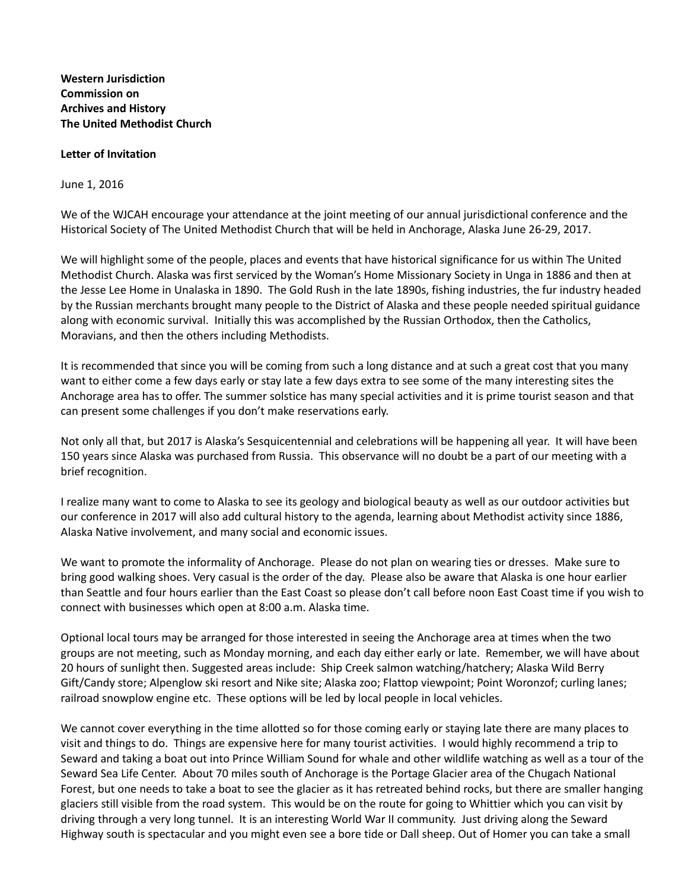**Western Jurisdiction Commission on Archives and History The United Methodist Church**

## **Letter of Invitation**

June 1, 2016

We of the WJCAH encourage your attendance at the joint meeting of our annual jurisdictional conference and the Historical Society of The United Methodist Church that will be held in Anchorage, Alaska June 26-29, 2017.

We will highlight some of the people, places and events that have historical significance for us within The United Methodist Church. Alaska was first serviced by the Woman's Home Missionary Society in Unga in 1886 and then at the Jesse Lee Home in Unalaska in 1890. The Gold Rush in the late 1890s, fishing industries, the fur industry headed by the Russian merchants brought many people to the District of Alaska and these people needed spiritual guidance along with economic survival. Initially this was accomplished by the Russian Orthodox, then the Catholics, Moravians, and then the others including Methodists.

It is recommended that since you will be coming from such a long distance and at such a great cost that you many want to either come a few days early or stay late a few days extra to see some of the many interesting sites the Anchorage area has to offer. The summer solstice has many special activities and it is prime tourist season and that can present some challenges if you don't make reservations early.

Not only all that, but 2017 is Alaska's Sesquicentennial and celebrations will be happening all year. It will have been 150 years since Alaska was purchased from Russia. This observance will no doubt be a part of our meeting with a brief recognition.

I realize many want to come to Alaska to see its geology and biological beauty as well as our outdoor activities but our conference in 2017 will also add cultural history to the agenda, learning about Methodist activity since 1886, Alaska Native involvement, and many social and economic issues.

We want to promote the informality of Anchorage. Please do not plan on wearing ties or dresses. Make sure to bring good walking shoes. Very casual is the order of the day. Please also be aware that Alaska is one hour earlier than Seattle and four hours earlier than the East Coast so please don't call before noon East Coast time if you wish to connect with businesses which open at 8:00 a.m. Alaska time.

Optional local tours may be arranged for those interested in seeing the Anchorage area at times when the two groups are not meeting, such as Monday morning, and each day either early or late. Remember, we will have about 20 hours of sunlight then. Suggested areas include: Ship Creek salmon watching/hatchery; Alaska Wild Berry Gift/Candy store; Alpenglow ski resort and Nike site; Alaska zoo; Flattop viewpoint; Point Woronzof; curling lanes; railroad snowplow engine etc. These options will be led by local people in local vehicles.

We cannot cover everything in the time allotted so for those coming early or staying late there are many places to visit and things to do. Things are expensive here for many tourist activities. I would highly recommend a trip to Seward and taking a boat out into Prince William Sound for whale and other wildlife watching as well as a tour of the Seward Sea Life Center. About 70 miles south of Anchorage is the Portage Glacier area of the Chugach National Forest, but one needs to take a boat to see the glacier as it has retreated behind rocks, but there are smaller hanging glaciers still visible from the road system. This would be on the route for going to Whittier which you can visit by driving through a very long tunnel. It is an interesting World War II community. Just driving along the Seward Highway south is spectacular and you might even see a bore tide or Dall sheep. Out of Homer you can take a small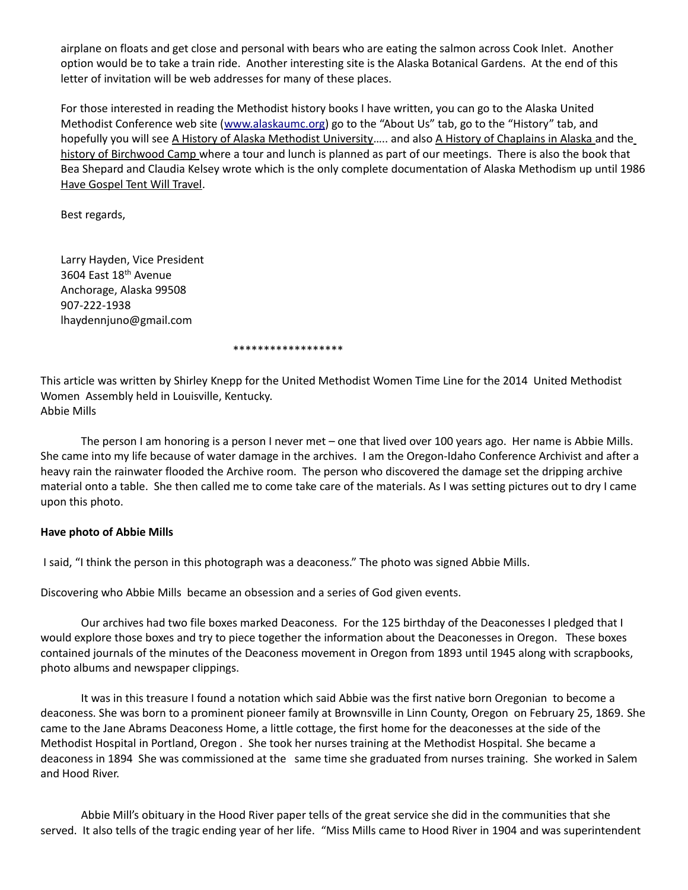airplane on floats and get close and personal with bears who are eating the salmon across Cook Inlet. Another option would be to take a train ride. Another interesting site is the Alaska Botanical Gardens. At the end of this letter of invitation will be web addresses for many of these places.

For those interested in reading the Methodist history books I have written, you can go to the Alaska United Methodist Conference web site [\(www.alaskaumc.org\)](http://www.alaskaumc.org/) go to the "About Us" tab, go to the "History" tab, and hopefully you will see A History of Alaska Methodist University..... and also A History of Chaplains in Alaska and the history of Birchwood Camp where a tour and lunch is planned as part of our meetings. There is also the book that Bea Shepard and Claudia Kelsey wrote which is the only complete documentation of Alaska Methodism up until 1986 Have Gospel Tent Will Travel.

Best regards,

Larry Hayden, Vice President 3604 East 18th Avenue Anchorage, Alaska 99508 907-222-1938 lhaydennjuno@gmail.com

#### \*\*\*\*\*\*\*\*\*\*\*\*\*\*\*\*\*\*

This article was written by Shirley Knepp for the United Methodist Women Time Line for the 2014 United Methodist Women Assembly held in Louisville, Kentucky. Abbie Mills

The person I am honoring is a person I never met – one that lived over 100 years ago. Her name is Abbie Mills. She came into my life because of water damage in the archives. I am the Oregon-Idaho Conference Archivist and after a heavy rain the rainwater flooded the Archive room. The person who discovered the damage set the dripping archive material onto a table. She then called me to come take care of the materials. As I was setting pictures out to dry I came upon this photo.

# **Have photo of Abbie Mills**

I said, "I think the person in this photograph was a deaconess." The photo was signed Abbie Mills.

Discovering who Abbie Mills became an obsession and a series of God given events.

Our archives had two file boxes marked Deaconess. For the 125 birthday of the Deaconesses I pledged that I would explore those boxes and try to piece together the information about the Deaconesses in Oregon. These boxes contained journals of the minutes of the Deaconess movement in Oregon from 1893 until 1945 along with scrapbooks, photo albums and newspaper clippings.

It was in this treasure I found a notation which said Abbie was the first native born Oregonian to become a deaconess. She was born to a prominent pioneer family at Brownsville in Linn County, Oregon on February 25, 1869. She came to the Jane Abrams Deaconess Home, a little cottage, the first home for the deaconesses at the side of the Methodist Hospital in Portland, Oregon . She took her nurses training at the Methodist Hospital. She became a deaconess in 1894 She was commissioned at the same time she graduated from nurses training. She worked in Salem and Hood River.

Abbie Mill's obituary in the Hood River paper tells of the great service she did in the communities that she served. It also tells of the tragic ending year of her life. "Miss Mills came to Hood River in 1904 and was superintendent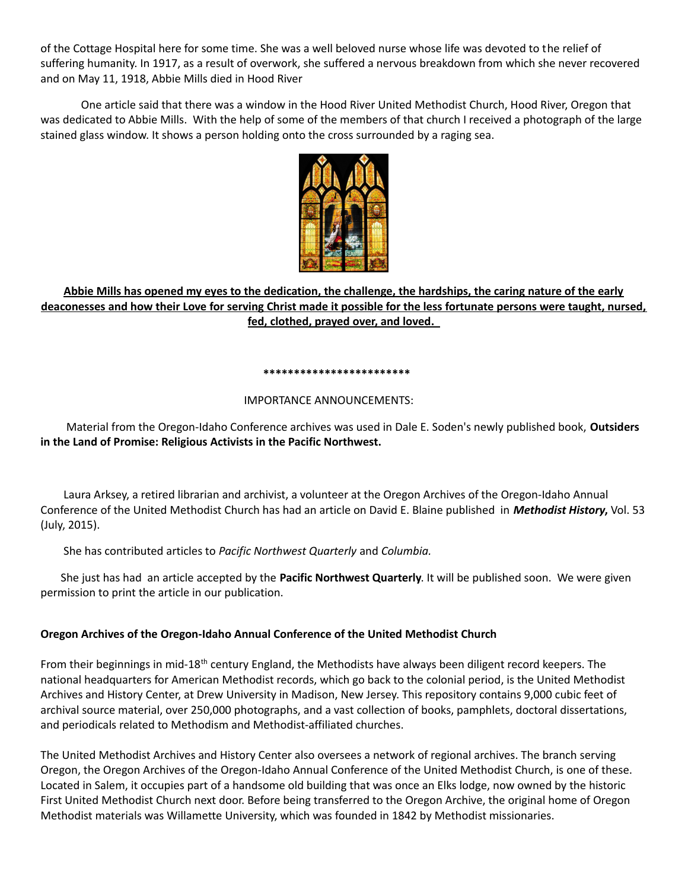of the Cottage Hospital here for some time. She was a well beloved nurse whose life was devoted to the relief of suffering humanity. In 1917, as a result of overwork, she suffered a nervous breakdown from which she never recovered and on May 11, 1918, Abbie Mills died in Hood River

One article said that there was a window in the Hood River United Methodist Church, Hood River, Oregon that was dedicated to Abbie Mills. With the help of some of the members of that church I received a photograph of the large stained glass window. It shows a person holding onto the cross surrounded by a raging sea.



# **Abbie Mills has opened my eyes to the dedication, the challenge, the hardships, the caring nature of the early deaconesses and how their Love for serving Christ made it possible for the less fortunate persons were taught, nursed, fed, clothed, prayed over, and loved.**

#### **\*\*\*\*\*\*\*\*\*\*\*\*\*\*\*\*\*\*\*\*\*\*\*\***

# IMPORTANCE ANNOUNCEMENTS:

 Material from the Oregon-Idaho Conference archives was used in Dale E. Soden's newly published book, **Outsiders in the Land of Promise: Religious Activists in the Pacific Northwest.** 

 Laura Arksey, a retired librarian and archivist, a volunteer at the Oregon Archives of the Oregon-Idaho Annual Conference of the United Methodist Church has had an article on David E. Blaine published in *Methodist History***,** Vol. 53 (July, 2015).

She has contributed articles to *Pacific Northwest Quarterly* and *Columbia.*

She just has had an article accepted by the **Pacific Northwest Quarterly**. It will be published soon. We were given permission to print the article in our publication.

# **Oregon Archives of the Oregon-Idaho Annual Conference of the United Methodist Church**

From their beginnings in mid-18<sup>th</sup> century England, the Methodists have always been diligent record keepers. The national headquarters for American Methodist records, which go back to the colonial period, is the United Methodist Archives and History Center, at Drew University in Madison, New Jersey. This repository contains 9,000 cubic feet of archival source material, over 250,000 photographs, and a vast collection of books, pamphlets, doctoral dissertations, and periodicals related to Methodism and Methodist-affiliated churches.

The United Methodist Archives and History Center also oversees a network of regional archives. The branch serving Oregon, the Oregon Archives of the Oregon-Idaho Annual Conference of the United Methodist Church, is one of these. Located in Salem, it occupies part of a handsome old building that was once an Elks lodge, now owned by the historic First United Methodist Church next door. Before being transferred to the Oregon Archive, the original home of Oregon Methodist materials was Willamette University, which was founded in 1842 by Methodist missionaries.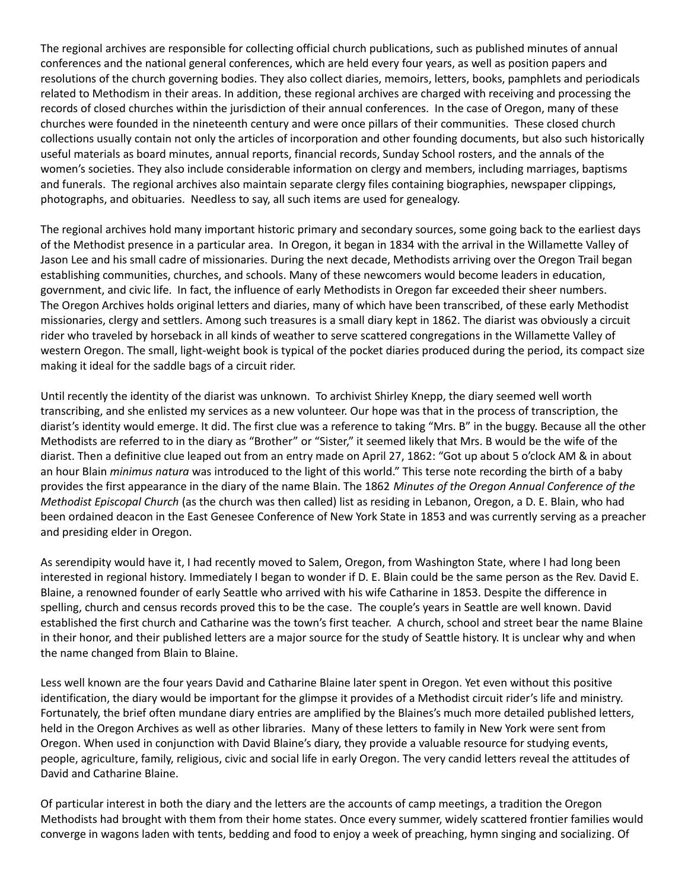The regional archives are responsible for collecting official church publications, such as published minutes of annual conferences and the national general conferences, which are held every four years, as well as position papers and resolutions of the church governing bodies. They also collect diaries, memoirs, letters, books, pamphlets and periodicals related to Methodism in their areas. In addition, these regional archives are charged with receiving and processing the records of closed churches within the jurisdiction of their annual conferences. In the case of Oregon, many of these churches were founded in the nineteenth century and were once pillars of their communities. These closed church collections usually contain not only the articles of incorporation and other founding documents, but also such historically useful materials as board minutes, annual reports, financial records, Sunday School rosters, and the annals of the women's societies. They also include considerable information on clergy and members, including marriages, baptisms and funerals. The regional archives also maintain separate clergy files containing biographies, newspaper clippings, photographs, and obituaries. Needless to say, all such items are used for genealogy.

The regional archives hold many important historic primary and secondary sources, some going back to the earliest days of the Methodist presence in a particular area. In Oregon, it began in 1834 with the arrival in the Willamette Valley of Jason Lee and his small cadre of missionaries. During the next decade, Methodists arriving over the Oregon Trail began establishing communities, churches, and schools. Many of these newcomers would become leaders in education, government, and civic life. In fact, the influence of early Methodists in Oregon far exceeded their sheer numbers. The Oregon Archives holds original letters and diaries, many of which have been transcribed, of these early Methodist missionaries, clergy and settlers. Among such treasures is a small diary kept in 1862. The diarist was obviously a circuit rider who traveled by horseback in all kinds of weather to serve scattered congregations in the Willamette Valley of western Oregon. The small, light-weight book is typical of the pocket diaries produced during the period, its compact size making it ideal for the saddle bags of a circuit rider.

Until recently the identity of the diarist was unknown. To archivist Shirley Knepp, the diary seemed well worth transcribing, and she enlisted my services as a new volunteer. Our hope was that in the process of transcription, the diarist's identity would emerge. It did. The first clue was a reference to taking "Mrs. B" in the buggy. Because all the other Methodists are referred to in the diary as "Brother" or "Sister," it seemed likely that Mrs. B would be the wife of the diarist. Then a definitive clue leaped out from an entry made on April 27, 1862: "Got up about 5 o'clock AM & in about an hour Blain *minimus natura* was introduced to the light of this world." This terse note recording the birth of a baby provides the first appearance in the diary of the name Blain. The 1862 *Minutes of the Oregon Annual Conference of the Methodist Episcopal Church* (as the church was then called) list as residing in Lebanon, Oregon, a D. E. Blain, who had been ordained deacon in the East Genesee Conference of New York State in 1853 and was currently serving as a preacher and presiding elder in Oregon.

As serendipity would have it, I had recently moved to Salem, Oregon, from Washington State, where I had long been interested in regional history. Immediately I began to wonder if D. E. Blain could be the same person as the Rev. David E. Blaine, a renowned founder of early Seattle who arrived with his wife Catharine in 1853. Despite the difference in spelling, church and census records proved this to be the case. The couple's years in Seattle are well known. David established the first church and Catharine was the town's first teacher. A church, school and street bear the name Blaine in their honor, and their published letters are a major source for the study of Seattle history. It is unclear why and when the name changed from Blain to Blaine.

Less well known are the four years David and Catharine Blaine later spent in Oregon. Yet even without this positive identification, the diary would be important for the glimpse it provides of a Methodist circuit rider's life and ministry. Fortunately, the brief often mundane diary entries are amplified by the Blaines's much more detailed published letters, held in the Oregon Archives as well as other libraries. Many of these letters to family in New York were sent from Oregon. When used in conjunction with David Blaine's diary, they provide a valuable resource for studying events, people, agriculture, family, religious, civic and social life in early Oregon. The very candid letters reveal the attitudes of David and Catharine Blaine.

Of particular interest in both the diary and the letters are the accounts of camp meetings, a tradition the Oregon Methodists had brought with them from their home states. Once every summer, widely scattered frontier families would converge in wagons laden with tents, bedding and food to enjoy a week of preaching, hymn singing and socializing. Of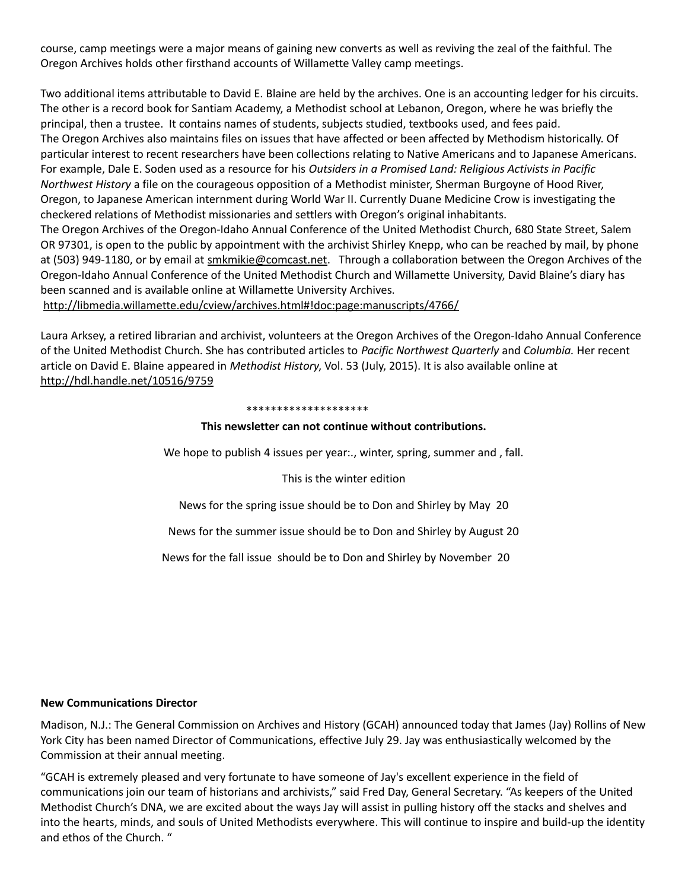course, camp meetings were a major means of gaining new converts as well as reviving the zeal of the faithful. The Oregon Archives holds other firsthand accounts of Willamette Valley camp meetings.

Two additional items attributable to David E. Blaine are held by the archives. One is an accounting ledger for his circuits. The other is a record book for Santiam Academy, a Methodist school at Lebanon, Oregon, where he was briefly the principal, then a trustee. It contains names of students, subjects studied, textbooks used, and fees paid. The Oregon Archives also maintains files on issues that have affected or been affected by Methodism historically. Of particular interest to recent researchers have been collections relating to Native Americans and to Japanese Americans. For example, Dale E. Soden used as a resource for his *Outsiders in a Promised Land: Religious Activists in Pacific Northwest History* a file on the courageous opposition of a Methodist minister, Sherman Burgoyne of Hood River, Oregon, to Japanese American internment during World War II. Currently Duane Medicine Crow is investigating the checkered relations of Methodist missionaries and settlers with Oregon's original inhabitants. The Oregon Archives of the Oregon-Idaho Annual Conference of the United Methodist Church, 680 State Street, Salem OR 97301, is open to the public by appointment with the archivist Shirley Knepp, who can be reached by mail, by phone at (503) 949-1180, or by email at [smkmikie@comcast.net.](mailto:smkmikie@comcast.net) Through a collaboration between the Oregon Archives of the Oregon-Idaho Annual Conference of the United Methodist Church and Willamette University, David Blaine's diary has

been scanned and is available online at Willamette University Archives. <http://libmedia.willamette.edu/cview/archives.html#!doc:page:manuscripts/4766/>

Laura Arksey, a retired librarian and archivist, volunteers at the Oregon Archives of the Oregon-Idaho Annual Conference of the United Methodist Church. She has contributed articles to *Pacific Northwest Quarterly* and *Columbia.* Her recent article on David E. Blaine appeared in *Methodist History*, Vol. 53 (July, 2015). It is also available online at <http://hdl.handle.net/10516/9759>

#### \*\*\*\*\*\*\*\*\*\*\*\*\*\*\*\*\*\*\*\*

# **This newsletter can not continue without contributions.**

We hope to publish 4 issues per year.., winter, spring, summer and, fall.

This is the winter edition

News for the spring issue should be to Don and Shirley by May 20

News for the summer issue should be to Don and Shirley by August 20

News for the fall issue should be to Don and Shirley by November 20

# **New Communications Director**

Madison, N.J.: The General Commission on Archives and History (GCAH) announced today that James (Jay) Rollins of New York City has been named Director of Communications, effective July 29. Jay was enthusiastically welcomed by the Commission at their annual meeting.

"GCAH is extremely pleased and very fortunate to have someone of Jay's excellent experience in the field of communications join our team of historians and archivists," said Fred Day, General Secretary. "As keepers of the United Methodist Church's DNA, we are excited about the ways Jay will assist in pulling history off the stacks and shelves and into the hearts, minds, and souls of United Methodists everywhere. This will continue to inspire and build-up the identity and ethos of the Church. "